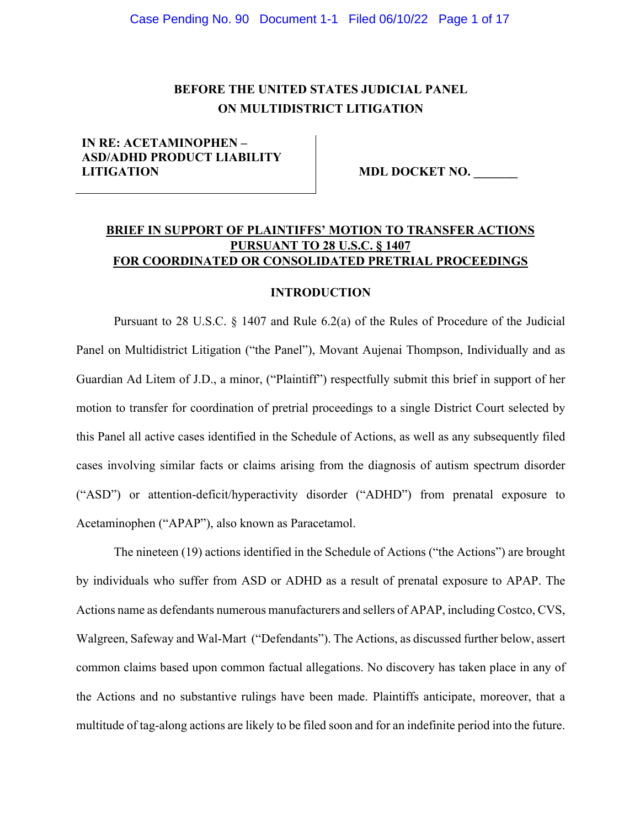#### Case Pending No. 90 Document 1-1 Filed 06/10/22 Page 1 of 17

# **BEFORE THE UNITED STATES JUDICIAL PANEL ON MULTIDISTRICT LITIGATION**

## **IN RE: ACETAMINOPHEN – ASD/ADHD PRODUCT LIABILITY LITIGATION MDL DOCKET NO.**

# **BRIEF IN SUPPORT OF PLAINTIFFS' MOTION TO TRANSFER ACTIONS PURSUANT TO 28 U.S.C. § 1407 FOR COORDINATED OR CONSOLIDATED PRETRIAL PROCEEDINGS**

### **INTRODUCTION**

Pursuant to 28 U.S.C. § 1407 and Rule 6.2(a) of the Rules of Procedure of the Judicial Panel on Multidistrict Litigation ("the Panel"), Movant Aujenai Thompson, Individually and as Guardian Ad Litem of J.D., a minor, ("Plaintiff") respectfully submit this brief in support of her motion to transfer for coordination of pretrial proceedings to a single District Court selected by this Panel all active cases identified in the Schedule of Actions, as well as any subsequently filed cases involving similar facts or claims arising from the diagnosis of autism spectrum disorder ("ASD") or attention-deficit/hyperactivity disorder ("ADHD") from prenatal exposure to Acetaminophen ("APAP"), also known as Paracetamol.

The nineteen (19) actions identified in the Schedule of Actions ("the Actions") are brought by individuals who suffer from ASD or ADHD as a result of prenatal exposure to APAP. The Actions name as defendants numerous manufacturers and sellers of APAP, including Costco, CVS, Walgreen, Safeway and Wal-Mart ("Defendants"). The Actions, as discussed further below, assert common claims based upon common factual allegations. No discovery has taken place in any of the Actions and no substantive rulings have been made. Plaintiffs anticipate, moreover, that a multitude of tag-along actions are likely to be filed soon and for an indefinite period into the future.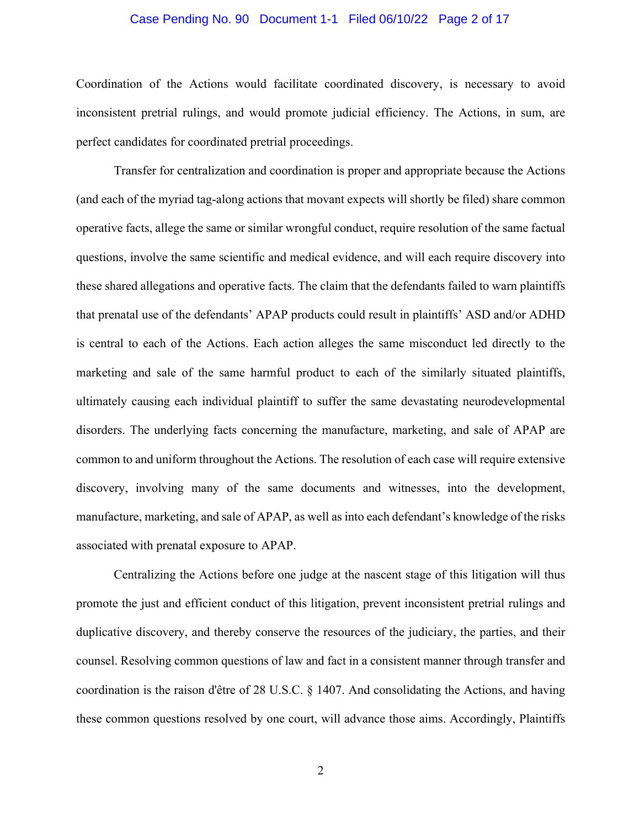### Case Pending No. 90 Document 1-1 Filed 06/10/22 Page 2 of 17

Coordination of the Actions would facilitate coordinated discovery, is necessary to avoid inconsistent pretrial rulings, and would promote judicial efficiency. The Actions, in sum, are perfect candidates for coordinated pretrial proceedings.

Transfer for centralization and coordination is proper and appropriate because the Actions (and each of the myriad tag-along actions that movant expects will shortly be filed) share common operative facts, allege the same or similar wrongful conduct, require resolution of the same factual questions, involve the same scientific and medical evidence, and will each require discovery into these shared allegations and operative facts. The claim that the defendants failed to warn plaintiffs that prenatal use of the defendants' APAP products could result in plaintiffs' ASD and/or ADHD is central to each of the Actions. Each action alleges the same misconduct led directly to the marketing and sale of the same harmful product to each of the similarly situated plaintiffs, ultimately causing each individual plaintiff to suffer the same devastating neurodevelopmental disorders. The underlying facts concerning the manufacture, marketing, and sale of APAP are common to and uniform throughout the Actions. The resolution of each case will require extensive discovery, involving many of the same documents and witnesses, into the development, manufacture, marketing, and sale of APAP, as well as into each defendant's knowledge of the risks associated with prenatal exposure to APAP.

Centralizing the Actions before one judge at the nascent stage of this litigation will thus promote the just and efficient conduct of this litigation, prevent inconsistent pretrial rulings and duplicative discovery, and thereby conserve the resources of the judiciary, the parties, and their counsel. Resolving common questions of law and fact in a consistent manner through transfer and coordination is the raison d'être of 28 U.S.C. § 1407. And consolidating the Actions, and having these common questions resolved by one court, will advance those aims. Accordingly, Plaintiffs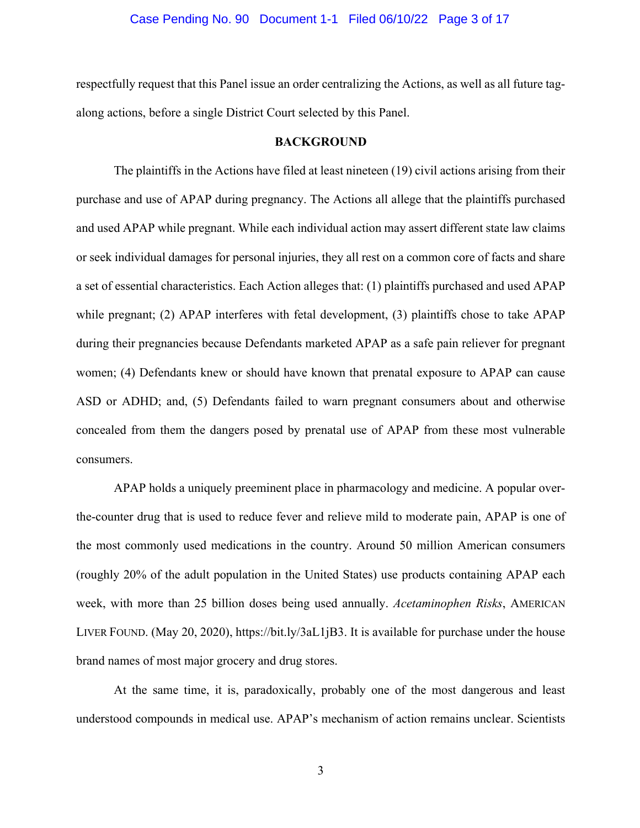### Case Pending No. 90 Document 1-1 Filed 06/10/22 Page 3 of 17

respectfully request that this Panel issue an order centralizing the Actions, as well as all future tagalong actions, before a single District Court selected by this Panel.

#### **BACKGROUND**

The plaintiffs in the Actions have filed at least nineteen (19) civil actions arising from their purchase and use of APAP during pregnancy. The Actions all allege that the plaintiffs purchased and used APAP while pregnant. While each individual action may assert different state law claims or seek individual damages for personal injuries, they all rest on a common core of facts and share a set of essential characteristics. Each Action alleges that: (1) plaintiffs purchased and used APAP while pregnant; (2) APAP interferes with fetal development, (3) plaintiffs chose to take APAP during their pregnancies because Defendants marketed APAP as a safe pain reliever for pregnant women; (4) Defendants knew or should have known that prenatal exposure to APAP can cause ASD or ADHD; and, (5) Defendants failed to warn pregnant consumers about and otherwise concealed from them the dangers posed by prenatal use of APAP from these most vulnerable consumers.

APAP holds a uniquely preeminent place in pharmacology and medicine. A popular overthe-counter drug that is used to reduce fever and relieve mild to moderate pain, APAP is one of the most commonly used medications in the country. Around 50 million American consumers (roughly 20% of the adult population in the United States) use products containing APAP each week, with more than 25 billion doses being used annually. *Acetaminophen Risks*, AMERICAN LIVER FOUND. (May 20, 2020), https://bit.ly/3aL1jB3. It is available for purchase under the house brand names of most major grocery and drug stores.

At the same time, it is, paradoxically, probably one of the most dangerous and least understood compounds in medical use. APAP's mechanism of action remains unclear. Scientists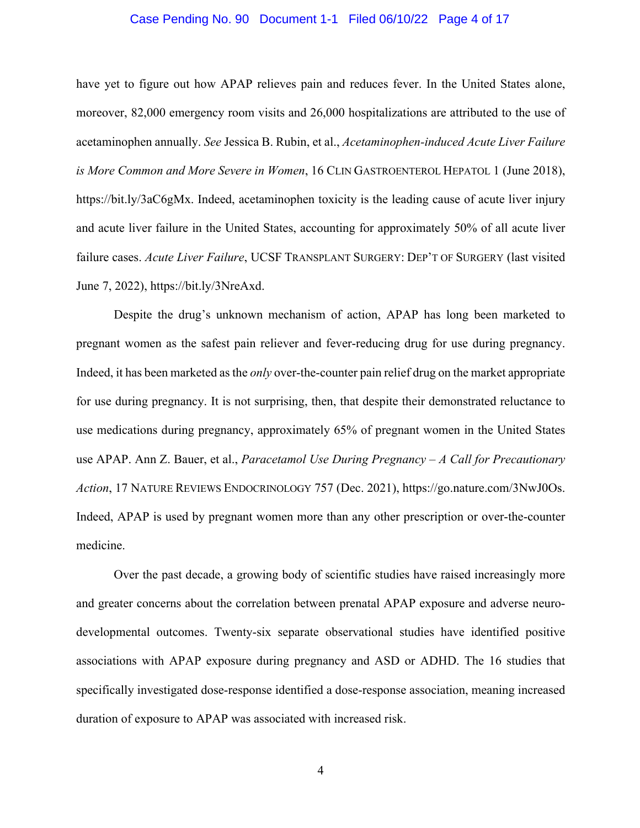### Case Pending No. 90 Document 1-1 Filed 06/10/22 Page 4 of 17

have yet to figure out how APAP relieves pain and reduces fever. In the United States alone, moreover, 82,000 emergency room visits and 26,000 hospitalizations are attributed to the use of acetaminophen annually. *See* Jessica B. Rubin, et al., *Acetaminophen-induced Acute Liver Failure is More Common and More Severe in Women*, 16 CLIN GASTROENTEROL HEPATOL 1 (June 2018), https://bit.ly/3aC6gMx. Indeed, acetaminophen toxicity is the leading cause of acute liver injury and acute liver failure in the United States, accounting for approximately 50% of all acute liver failure cases. *Acute Liver Failure*, UCSF TRANSPLANT SURGERY: DEP'T OF SURGERY (last visited June 7, 2022), https://bit.ly/3NreAxd.

Despite the drug's unknown mechanism of action, APAP has long been marketed to pregnant women as the safest pain reliever and fever-reducing drug for use during pregnancy. Indeed, it has been marketed as the *only* over-the-counter pain relief drug on the market appropriate for use during pregnancy. It is not surprising, then, that despite their demonstrated reluctance to use medications during pregnancy, approximately 65% of pregnant women in the United States use APAP. Ann Z. Bauer, et al., *Paracetamol Use During Pregnancy – A Call for Precautionary Action*, 17 NATURE REVIEWS ENDOCRINOLOGY 757 (Dec. 2021), https://go.nature.com/3NwJ0Os. Indeed, APAP is used by pregnant women more than any other prescription or over-the-counter medicine.

Over the past decade, a growing body of scientific studies have raised increasingly more and greater concerns about the correlation between prenatal APAP exposure and adverse neurodevelopmental outcomes. Twenty-six separate observational studies have identified positive associations with APAP exposure during pregnancy and ASD or ADHD. The 16 studies that specifically investigated dose-response identified a dose-response association, meaning increased duration of exposure to APAP was associated with increased risk.

4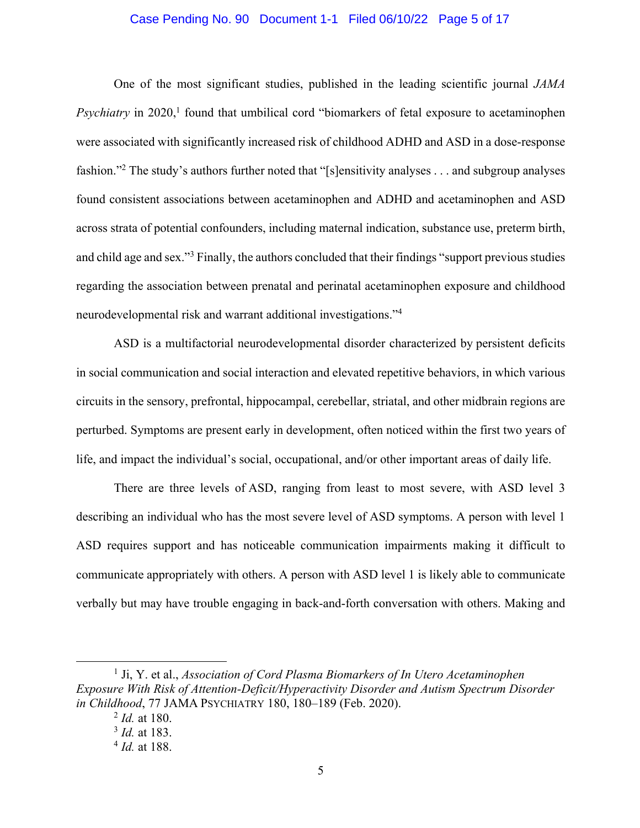### Case Pending No. 90 Document 1-1 Filed 06/10/22 Page 5 of 17

One of the most significant studies, published in the leading scientific journal *JAMA*  Psychiatry in 2020,<sup>1</sup> found that umbilical cord "biomarkers of fetal exposure to acetaminophen were associated with significantly increased risk of childhood ADHD and ASD in a dose-response fashion."2 The study's authors further noted that "[s]ensitivity analyses . . . and subgroup analyses found consistent associations between acetaminophen and ADHD and acetaminophen and ASD across strata of potential confounders, including maternal indication, substance use, preterm birth, and child age and sex."<sup>3</sup> Finally, the authors concluded that their findings "support previous studies regarding the association between prenatal and perinatal acetaminophen exposure and childhood neurodevelopmental risk and warrant additional investigations."4

ASD is a multifactorial neurodevelopmental disorder characterized by persistent deficits in social communication and social interaction and elevated repetitive behaviors, in which various circuits in the sensory, prefrontal, hippocampal, cerebellar, striatal, and other midbrain regions are perturbed. Symptoms are present early in development, often noticed within the first two years of life, and impact the individual's social, occupational, and/or other important areas of daily life.

There are three levels of ASD, ranging from least to most severe, with ASD level 3 describing an individual who has the most severe level of ASD symptoms. A person with level 1 ASD requires support and has noticeable communication impairments making it difficult to communicate appropriately with others. A person with ASD level 1 is likely able to communicate verbally but may have trouble engaging in back-and-forth conversation with others. Making and

<sup>1</sup> Ji, Y. et al., *Association of Cord Plasma Biomarkers of In Utero Acetaminophen Exposure With Risk of Attention-Deficit/Hyperactivity Disorder and Autism Spectrum Disorder in Childhood*, 77 JAMA PSYCHIATRY 180, 180–189 (Feb. 2020).

<sup>2</sup> *Id.* at 180.

<sup>3</sup> *Id.* at 183.

<sup>4</sup> *Id.* at 188.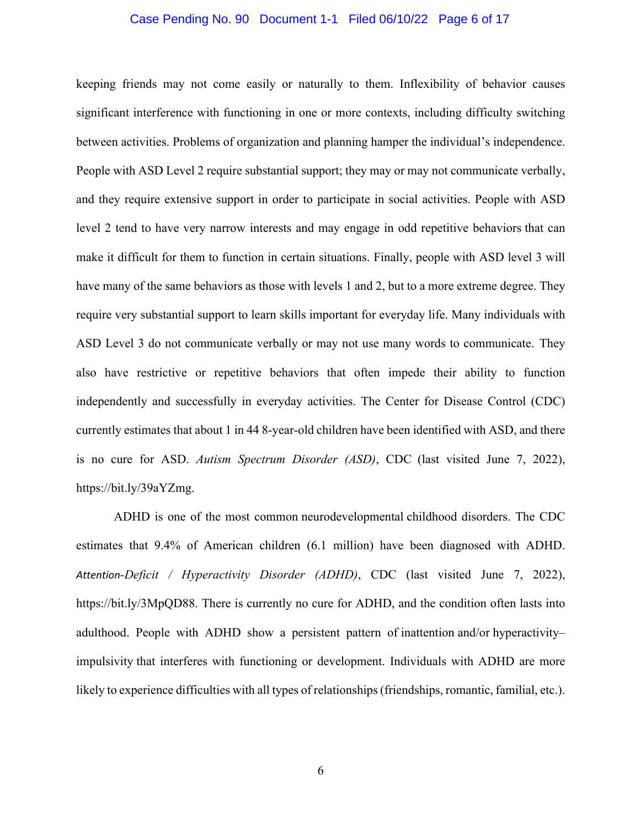### Case Pending No. 90 Document 1-1 Filed 06/10/22 Page 6 of 17

keeping friends may not come easily or naturally to them. Inflexibility of behavior causes significant interference with functioning in one or more contexts, including difficulty switching between activities. Problems of organization and planning hamper the individual's independence. People with ASD Level 2 require substantial support; they may or may not communicate verbally, and they require extensive support in order to participate in social activities. People with ASD level 2 tend to have very narrow interests and may engage in odd repetitive behaviors that can make it difficult for them to function in certain situations. Finally, people with ASD level 3 will have many of the same behaviors as those with levels 1 and 2, but to a more extreme degree. They require very substantial support to learn skills important for everyday life. Many individuals with ASD Level 3 do not communicate verbally or may not use many words to communicate. They also have restrictive or repetitive behaviors that often impede their ability to function independently and successfully in everyday activities. The Center for Disease Control (CDC) currently estimates that about 1 in 44 8-year-old children have been identified with ASD, and there is no cure for ASD. *Autism Spectrum Disorder (ASD)*, CDC (last visited June 7, 2022), https://bit.ly/39aYZmg.

ADHD is one of the most common neurodevelopmental childhood disorders. The CDC estimates that 9.4% of American children (6.1 million) have been diagnosed with ADHD. *Attention-Deficit / Hyperactivity Disorder (ADHD)*, CDC (last visited June 7, 2022), https://bit.ly/3MpQD88. There is currently no cure for ADHD, and the condition often lasts into adulthood. People with ADHD show a persistent pattern of inattention and/or hyperactivity– impulsivity that interferes with functioning or development. Individuals with ADHD are more likely to experience difficulties with all types of relationships (friendships, romantic, familial, etc.).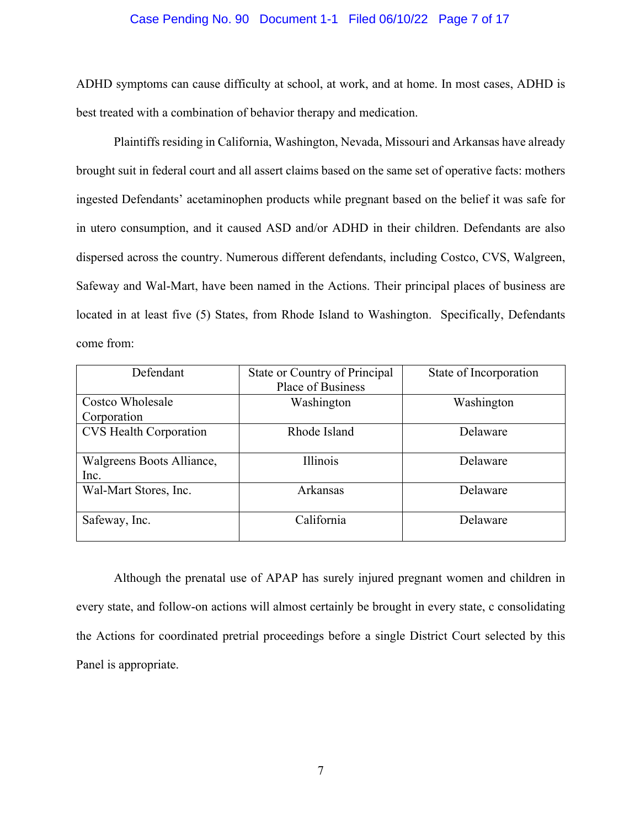### Case Pending No. 90 Document 1-1 Filed 06/10/22 Page 7 of 17

ADHD symptoms can cause difficulty at school, at work, and at home. In most cases, ADHD is best treated with a combination of behavior therapy and medication.

Plaintiffs residing in California, Washington, Nevada, Missouri and Arkansas have already brought suit in federal court and all assert claims based on the same set of operative facts: mothers ingested Defendants' acetaminophen products while pregnant based on the belief it was safe for in utero consumption, and it caused ASD and/or ADHD in their children. Defendants are also dispersed across the country. Numerous different defendants, including Costco, CVS, Walgreen, Safeway and Wal-Mart, have been named in the Actions. Their principal places of business are located in at least five (5) States, from Rhode Island to Washington. Specifically, Defendants come from:

| Defendant                     | State or Country of Principal | State of Incorporation |
|-------------------------------|-------------------------------|------------------------|
|                               | <b>Place of Business</b>      |                        |
| Costco Wholesale              | Washington                    | Washington             |
| Corporation                   |                               |                        |
| <b>CVS Health Corporation</b> | Rhode Island                  | Delaware               |
|                               |                               |                        |
| Walgreens Boots Alliance,     | <b>Illinois</b>               | Delaware               |
| Inc.                          |                               |                        |
| Wal-Mart Stores, Inc.         | Arkansas                      | Delaware               |
|                               |                               |                        |
| Safeway, Inc.                 | California                    | Delaware               |
|                               |                               |                        |

Although the prenatal use of APAP has surely injured pregnant women and children in every state, and follow-on actions will almost certainly be brought in every state, c consolidating the Actions for coordinated pretrial proceedings before a single District Court selected by this Panel is appropriate.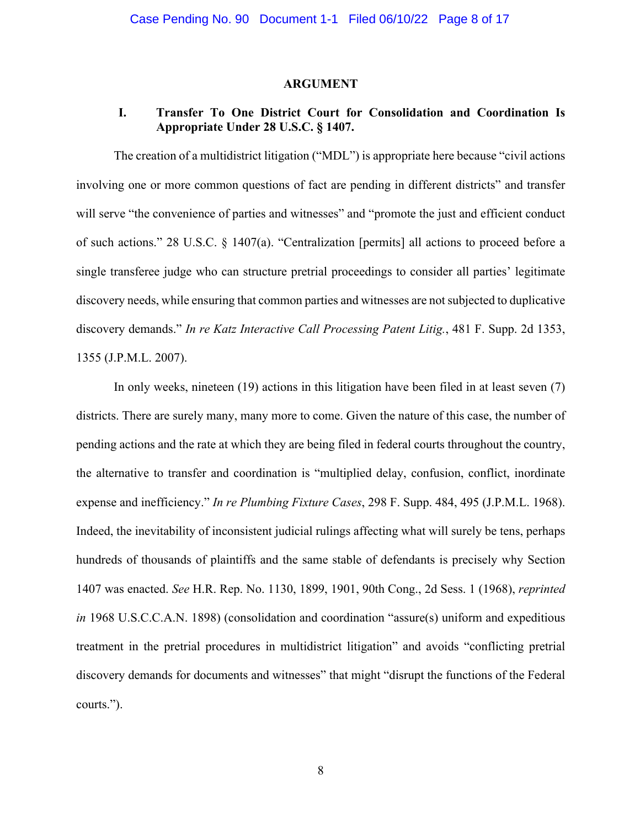### **ARGUMENT**

# **I. Transfer To One District Court for Consolidation and Coordination Is Appropriate Under 28 U.S.C. § 1407.**

The creation of a multidistrict litigation ("MDL") is appropriate here because "civil actions involving one or more common questions of fact are pending in different districts" and transfer will serve "the convenience of parties and witnesses" and "promote the just and efficient conduct of such actions." 28 U.S.C. § 1407(a). "Centralization [permits] all actions to proceed before a single transferee judge who can structure pretrial proceedings to consider all parties' legitimate discovery needs, while ensuring that common parties and witnesses are not subjected to duplicative discovery demands." *In re Katz Interactive Call Processing Patent Litig.*, 481 F. Supp. 2d 1353, 1355 (J.P.M.L. 2007).

In only weeks, nineteen (19) actions in this litigation have been filed in at least seven (7) districts. There are surely many, many more to come. Given the nature of this case, the number of pending actions and the rate at which they are being filed in federal courts throughout the country, the alternative to transfer and coordination is "multiplied delay, confusion, conflict, inordinate expense and inefficiency." *In re Plumbing Fixture Cases*, 298 F. Supp. 484, 495 (J.P.M.L. 1968). Indeed, the inevitability of inconsistent judicial rulings affecting what will surely be tens, perhaps hundreds of thousands of plaintiffs and the same stable of defendants is precisely why Section 1407 was enacted. *See* H.R. Rep. No. 1130, 1899, 1901, 90th Cong., 2d Sess. 1 (1968), *reprinted in* 1968 U.S.C.C.A.N. 1898) (consolidation and coordination "assure(s) uniform and expeditious treatment in the pretrial procedures in multidistrict litigation" and avoids "conflicting pretrial discovery demands for documents and witnesses" that might "disrupt the functions of the Federal courts.").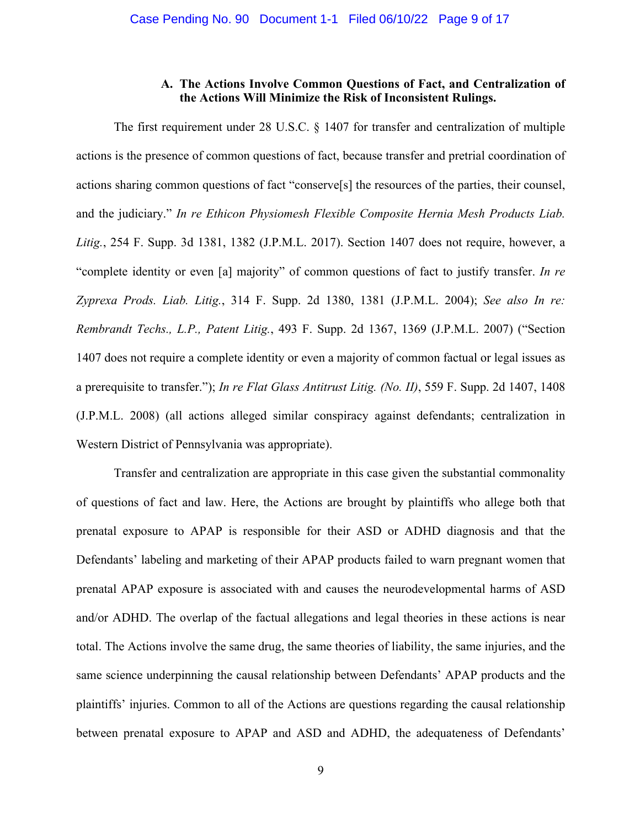### **A. The Actions Involve Common Questions of Fact, and Centralization of the Actions Will Minimize the Risk of Inconsistent Rulings.**

The first requirement under 28 U.S.C. § 1407 for transfer and centralization of multiple actions is the presence of common questions of fact, because transfer and pretrial coordination of actions sharing common questions of fact "conserve[s] the resources of the parties, their counsel, and the judiciary." *In re Ethicon Physiomesh Flexible Composite Hernia Mesh Products Liab. Litig.*, 254 F. Supp. 3d 1381, 1382 (J.P.M.L. 2017). Section 1407 does not require, however, a "complete identity or even [a] majority" of common questions of fact to justify transfer. *In re Zyprexa Prods. Liab. Litig.*, 314 F. Supp. 2d 1380, 1381 (J.P.M.L. 2004); *See also In re: Rembrandt Techs., L.P., Patent Litig.*, 493 F. Supp. 2d 1367, 1369 (J.P.M.L. 2007) ("Section 1407 does not require a complete identity or even a majority of common factual or legal issues as a prerequisite to transfer."); *In re Flat Glass Antitrust Litig. (No. II)*, 559 F. Supp. 2d 1407, 1408 (J.P.M.L. 2008) (all actions alleged similar conspiracy against defendants; centralization in Western District of Pennsylvania was appropriate).

Transfer and centralization are appropriate in this case given the substantial commonality of questions of fact and law. Here, the Actions are brought by plaintiffs who allege both that prenatal exposure to APAP is responsible for their ASD or ADHD diagnosis and that the Defendants' labeling and marketing of their APAP products failed to warn pregnant women that prenatal APAP exposure is associated with and causes the neurodevelopmental harms of ASD and/or ADHD. The overlap of the factual allegations and legal theories in these actions is near total. The Actions involve the same drug, the same theories of liability, the same injuries, and the same science underpinning the causal relationship between Defendants' APAP products and the plaintiffs' injuries. Common to all of the Actions are questions regarding the causal relationship between prenatal exposure to APAP and ASD and ADHD, the adequateness of Defendants'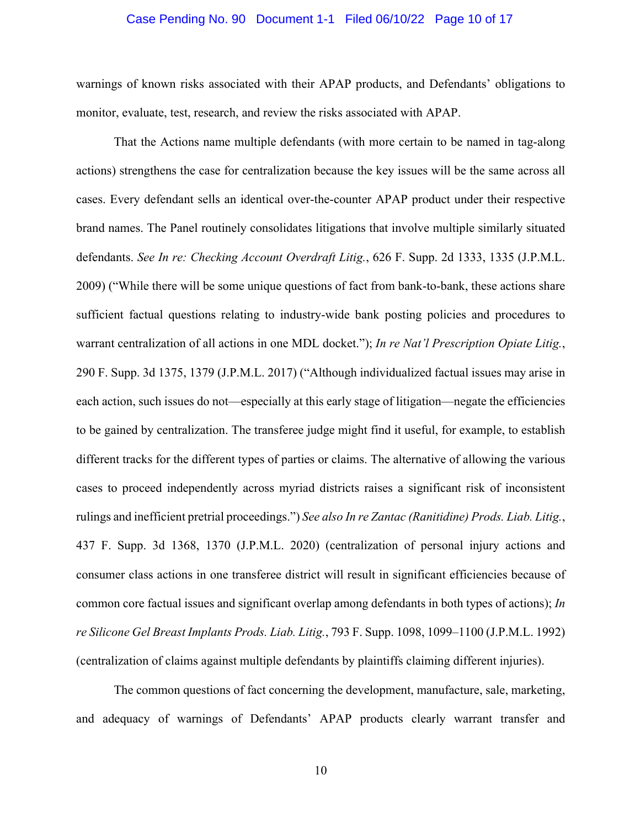### Case Pending No. 90 Document 1-1 Filed 06/10/22 Page 10 of 17

warnings of known risks associated with their APAP products, and Defendants' obligations to monitor, evaluate, test, research, and review the risks associated with APAP.

That the Actions name multiple defendants (with more certain to be named in tag-along actions) strengthens the case for centralization because the key issues will be the same across all cases. Every defendant sells an identical over-the-counter APAP product under their respective brand names. The Panel routinely consolidates litigations that involve multiple similarly situated defendants. *See In re: Checking Account Overdraft Litig.*, 626 F. Supp. 2d 1333, 1335 (J.P.M.L. 2009) ("While there will be some unique questions of fact from bank-to-bank, these actions share sufficient factual questions relating to industry-wide bank posting policies and procedures to warrant centralization of all actions in one MDL docket."); *In re Nat'l Prescription Opiate Litig.*, 290 F. Supp. 3d 1375, 1379 (J.P.M.L. 2017) ("Although individualized factual issues may arise in each action, such issues do not—especially at this early stage of litigation—negate the efficiencies to be gained by centralization. The transferee judge might find it useful, for example, to establish different tracks for the different types of parties or claims. The alternative of allowing the various cases to proceed independently across myriad districts raises a significant risk of inconsistent rulings and inefficient pretrial proceedings.") *See also In re Zantac (Ranitidine) Prods. Liab. Litig.*, 437 F. Supp. 3d 1368, 1370 (J.P.M.L. 2020) (centralization of personal injury actions and consumer class actions in one transferee district will result in significant efficiencies because of common core factual issues and significant overlap among defendants in both types of actions); *In re Silicone Gel Breast Implants Prods. Liab. Litig.*, 793 F. Supp. 1098, 1099–1100 (J.P.M.L. 1992) (centralization of claims against multiple defendants by plaintiffs claiming different injuries).

The common questions of fact concerning the development, manufacture, sale, marketing, and adequacy of warnings of Defendants' APAP products clearly warrant transfer and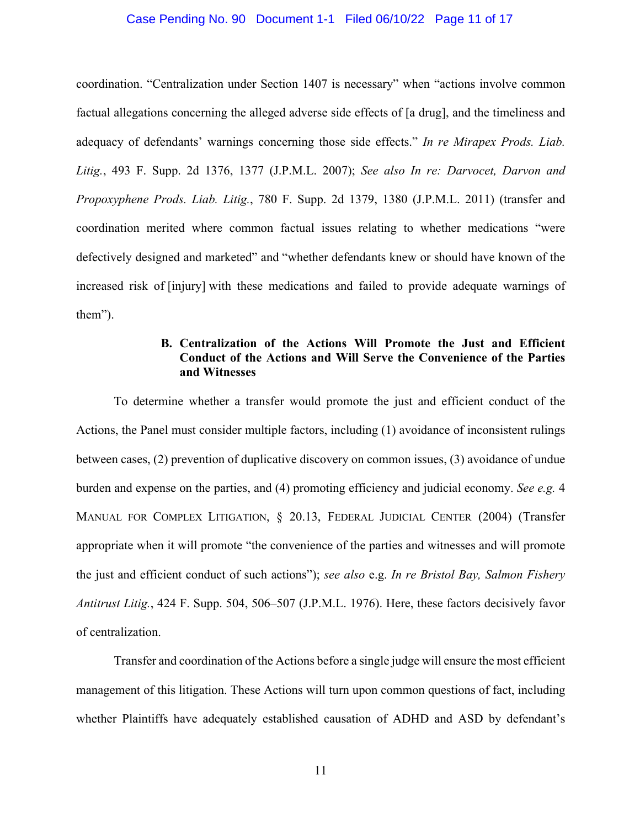### Case Pending No. 90 Document 1-1 Filed 06/10/22 Page 11 of 17

coordination. "Centralization under Section 1407 is necessary" when "actions involve common factual allegations concerning the alleged adverse side effects of [a drug], and the timeliness and adequacy of defendants' warnings concerning those side effects." *In re Mirapex Prods. Liab. Litig.*, 493 F. Supp. 2d 1376, 1377 (J.P.M.L. 2007); *See also In re: Darvocet, Darvon and Propoxyphene Prods. Liab. Litig.*, 780 F. Supp. 2d 1379, 1380 (J.P.M.L. 2011) (transfer and coordination merited where common factual issues relating to whether medications "were defectively designed and marketed" and "whether defendants knew or should have known of the increased risk of [injury] with these medications and failed to provide adequate warnings of them").

## **B. Centralization of the Actions Will Promote the Just and Efficient Conduct of the Actions and Will Serve the Convenience of the Parties and Witnesses**

To determine whether a transfer would promote the just and efficient conduct of the Actions, the Panel must consider multiple factors, including (1) avoidance of inconsistent rulings between cases, (2) prevention of duplicative discovery on common issues, (3) avoidance of undue burden and expense on the parties, and (4) promoting efficiency and judicial economy. *See e.g.* 4 MANUAL FOR COMPLEX LITIGATION, § 20.13, FEDERAL JUDICIAL CENTER (2004) (Transfer appropriate when it will promote "the convenience of the parties and witnesses and will promote the just and efficient conduct of such actions"); *see also* e.g. *In re Bristol Bay, Salmon Fishery Antitrust Litig.*, 424 F. Supp. 504, 506–507 (J.P.M.L. 1976). Here, these factors decisively favor of centralization.

Transfer and coordination of the Actions before a single judge will ensure the most efficient management of this litigation. These Actions will turn upon common questions of fact, including whether Plaintiffs have adequately established causation of ADHD and ASD by defendant's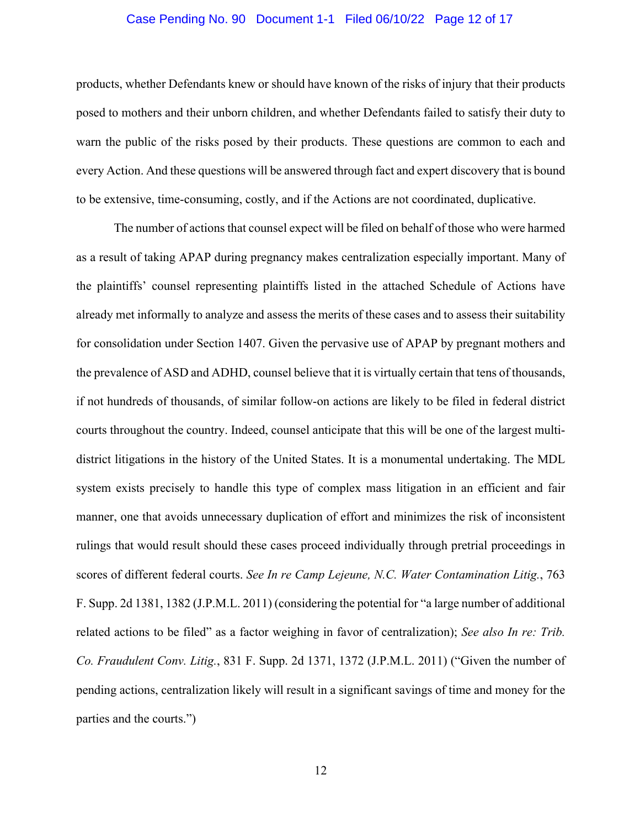### Case Pending No. 90 Document 1-1 Filed 06/10/22 Page 12 of 17

products, whether Defendants knew or should have known of the risks of injury that their products posed to mothers and their unborn children, and whether Defendants failed to satisfy their duty to warn the public of the risks posed by their products. These questions are common to each and every Action. And these questions will be answered through fact and expert discovery that is bound to be extensive, time-consuming, costly, and if the Actions are not coordinated, duplicative.

The number of actions that counsel expect will be filed on behalf of those who were harmed as a result of taking APAP during pregnancy makes centralization especially important. Many of the plaintiffs' counsel representing plaintiffs listed in the attached Schedule of Actions have already met informally to analyze and assess the merits of these cases and to assess their suitability for consolidation under Section 1407. Given the pervasive use of APAP by pregnant mothers and the prevalence of ASD and ADHD, counsel believe that it is virtually certain that tens of thousands, if not hundreds of thousands, of similar follow-on actions are likely to be filed in federal district courts throughout the country. Indeed, counsel anticipate that this will be one of the largest multidistrict litigations in the history of the United States. It is a monumental undertaking. The MDL system exists precisely to handle this type of complex mass litigation in an efficient and fair manner, one that avoids unnecessary duplication of effort and minimizes the risk of inconsistent rulings that would result should these cases proceed individually through pretrial proceedings in scores of different federal courts. *See In re Camp Lejeune, N.C. Water Contamination Litig.*, 763 F. Supp. 2d 1381, 1382 (J.P.M.L. 2011) (considering the potential for "a large number of additional related actions to be filed" as a factor weighing in favor of centralization); *See also In re: Trib. Co. Fraudulent Conv. Litig.*, 831 F. Supp. 2d 1371, 1372 (J.P.M.L. 2011) ("Given the number of pending actions, centralization likely will result in a significant savings of time and money for the parties and the courts.")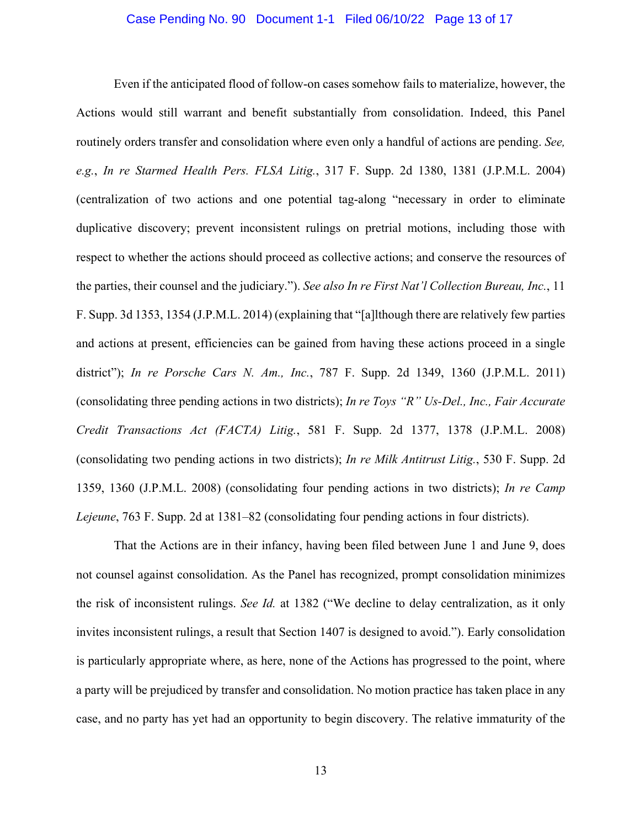### Case Pending No. 90 Document 1-1 Filed 06/10/22 Page 13 of 17

Even if the anticipated flood of follow-on cases somehow fails to materialize, however, the Actions would still warrant and benefit substantially from consolidation. Indeed, this Panel routinely orders transfer and consolidation where even only a handful of actions are pending. *See, e.g.*, *In re Starmed Health Pers. FLSA Litig.*, 317 F. Supp. 2d 1380, 1381 (J.P.M.L. 2004) (centralization of two actions and one potential tag-along "necessary in order to eliminate duplicative discovery; prevent inconsistent rulings on pretrial motions, including those with respect to whether the actions should proceed as collective actions; and conserve the resources of the parties, their counsel and the judiciary."). *See also In re First Nat'l Collection Bureau, Inc.*, 11 F. Supp. 3d 1353, 1354 (J.P.M.L. 2014) (explaining that "[a]lthough there are relatively few parties and actions at present, efficiencies can be gained from having these actions proceed in a single district"); *In re Porsche Cars N. Am., Inc.*, 787 F. Supp. 2d 1349, 1360 (J.P.M.L. 2011) (consolidating three pending actions in two districts); *In re Toys "R" Us-Del., Inc., Fair Accurate Credit Transactions Act (FACTA) Litig.*, 581 F. Supp. 2d 1377, 1378 (J.P.M.L. 2008) (consolidating two pending actions in two districts); *In re Milk Antitrust Litig.*, 530 F. Supp. 2d 1359, 1360 (J.P.M.L. 2008) (consolidating four pending actions in two districts); *In re Camp Lejeune*, 763 F. Supp. 2d at 1381–82 (consolidating four pending actions in four districts).

That the Actions are in their infancy, having been filed between June 1 and June 9, does not counsel against consolidation. As the Panel has recognized, prompt consolidation minimizes the risk of inconsistent rulings. *See Id.* at 1382 ("We decline to delay centralization, as it only invites inconsistent rulings, a result that Section 1407 is designed to avoid."). Early consolidation is particularly appropriate where, as here, none of the Actions has progressed to the point, where a party will be prejudiced by transfer and consolidation. No motion practice has taken place in any case, and no party has yet had an opportunity to begin discovery. The relative immaturity of the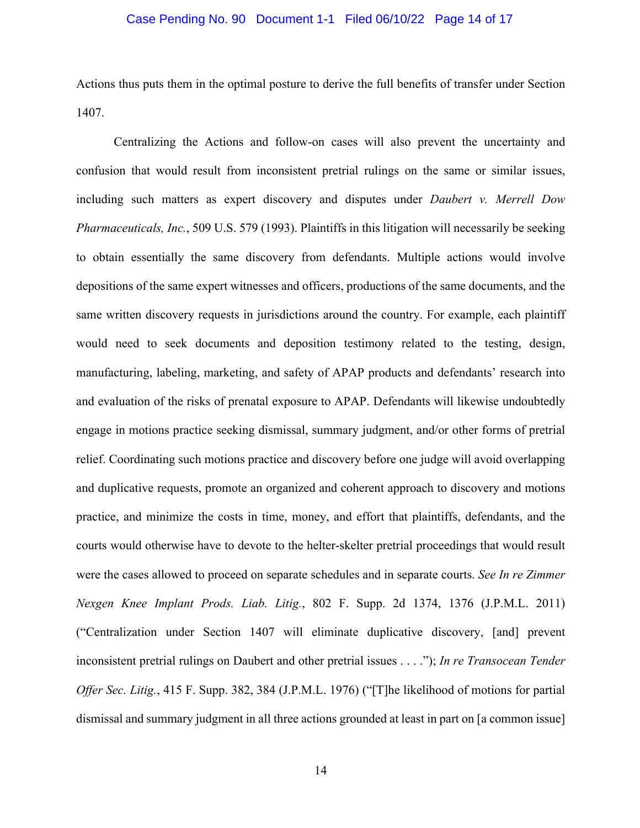### Case Pending No. 90 Document 1-1 Filed 06/10/22 Page 14 of 17

Actions thus puts them in the optimal posture to derive the full benefits of transfer under Section 1407.

Centralizing the Actions and follow-on cases will also prevent the uncertainty and confusion that would result from inconsistent pretrial rulings on the same or similar issues, including such matters as expert discovery and disputes under *Daubert v. Merrell Dow Pharmaceuticals, Inc.*, 509 U.S. 579 (1993). Plaintiffs in this litigation will necessarily be seeking to obtain essentially the same discovery from defendants. Multiple actions would involve depositions of the same expert witnesses and officers, productions of the same documents, and the same written discovery requests in jurisdictions around the country. For example, each plaintiff would need to seek documents and deposition testimony related to the testing, design, manufacturing, labeling, marketing, and safety of APAP products and defendants' research into and evaluation of the risks of prenatal exposure to APAP. Defendants will likewise undoubtedly engage in motions practice seeking dismissal, summary judgment, and/or other forms of pretrial relief. Coordinating such motions practice and discovery before one judge will avoid overlapping and duplicative requests, promote an organized and coherent approach to discovery and motions practice, and minimize the costs in time, money, and effort that plaintiffs, defendants, and the courts would otherwise have to devote to the helter-skelter pretrial proceedings that would result were the cases allowed to proceed on separate schedules and in separate courts. *See In re Zimmer Nexgen Knee Implant Prods. Liab. Litig.*, 802 F. Supp. 2d 1374, 1376 (J.P.M.L. 2011) ("Centralization under Section 1407 will eliminate duplicative discovery, [and] prevent inconsistent pretrial rulings on Daubert and other pretrial issues . . . ."); *In re Transocean Tender Offer Sec. Litig.*, 415 F. Supp. 382, 384 (J.P.M.L. 1976) ("[T]he likelihood of motions for partial dismissal and summary judgment in all three actions grounded at least in part on [a common issue]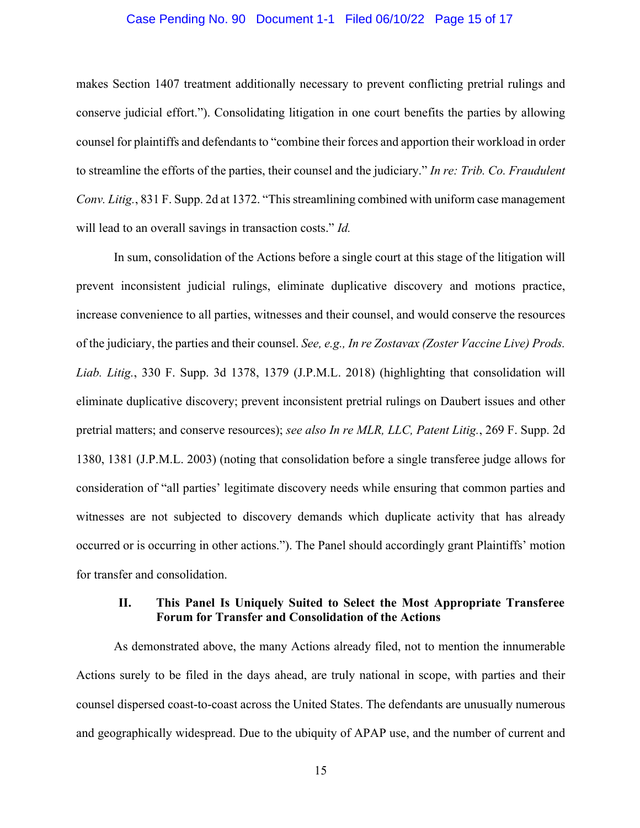### Case Pending No. 90 Document 1-1 Filed 06/10/22 Page 15 of 17

makes Section 1407 treatment additionally necessary to prevent conflicting pretrial rulings and conserve judicial effort."). Consolidating litigation in one court benefits the parties by allowing counsel for plaintiffs and defendants to "combine their forces and apportion their workload in order to streamline the efforts of the parties, their counsel and the judiciary." *In re: Trib. Co. Fraudulent Conv. Litig.*, 831 F. Supp. 2d at 1372. "This streamlining combined with uniform case management will lead to an overall savings in transaction costs." *Id.*

In sum, consolidation of the Actions before a single court at this stage of the litigation will prevent inconsistent judicial rulings, eliminate duplicative discovery and motions practice, increase convenience to all parties, witnesses and their counsel, and would conserve the resources of the judiciary, the parties and their counsel. *See, e.g., In re Zostavax (Zoster Vaccine Live) Prods. Liab. Litig.*, 330 F. Supp. 3d 1378, 1379 (J.P.M.L. 2018) (highlighting that consolidation will eliminate duplicative discovery; prevent inconsistent pretrial rulings on Daubert issues and other pretrial matters; and conserve resources); *see also In re MLR, LLC, Patent Litig.*, 269 F. Supp. 2d 1380, 1381 (J.P.M.L. 2003) (noting that consolidation before a single transferee judge allows for consideration of "all parties' legitimate discovery needs while ensuring that common parties and witnesses are not subjected to discovery demands which duplicate activity that has already occurred or is occurring in other actions."). The Panel should accordingly grant Plaintiffs' motion for transfer and consolidation.

### **II. This Panel Is Uniquely Suited to Select the Most Appropriate Transferee Forum for Transfer and Consolidation of the Actions**

As demonstrated above, the many Actions already filed, not to mention the innumerable Actions surely to be filed in the days ahead, are truly national in scope, with parties and their counsel dispersed coast-to-coast across the United States. The defendants are unusually numerous and geographically widespread. Due to the ubiquity of APAP use, and the number of current and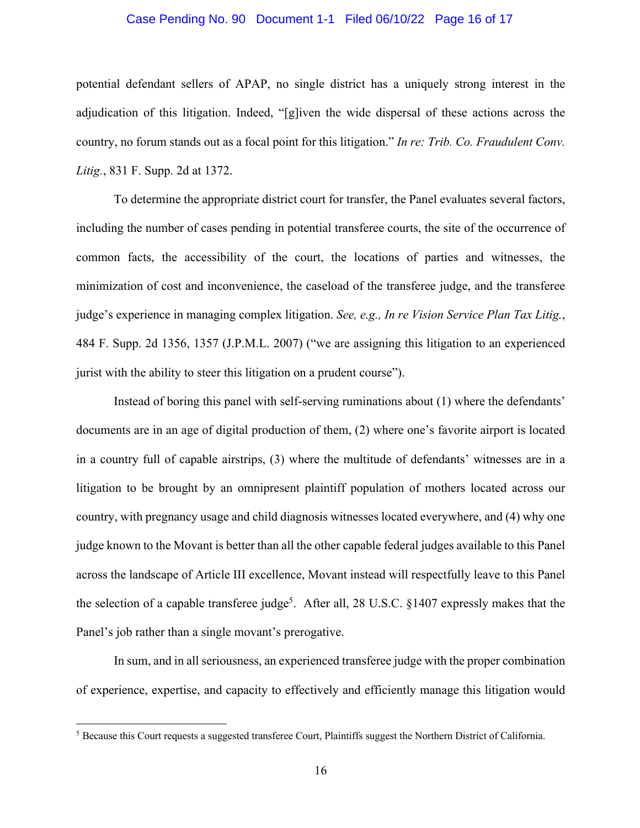### Case Pending No. 90 Document 1-1 Filed 06/10/22 Page 16 of 17

potential defendant sellers of APAP, no single district has a uniquely strong interest in the adjudication of this litigation. Indeed, "[g]iven the wide dispersal of these actions across the country, no forum stands out as a focal point for this litigation." *In re: Trib. Co. Fraudulent Conv. Litig.*, 831 F. Supp. 2d at 1372.

To determine the appropriate district court for transfer, the Panel evaluates several factors, including the number of cases pending in potential transferee courts, the site of the occurrence of common facts, the accessibility of the court, the locations of parties and witnesses, the minimization of cost and inconvenience, the caseload of the transferee judge, and the transferee judge's experience in managing complex litigation. *See, e.g., In re Vision Service Plan Tax Litig.*, 484 F. Supp. 2d 1356, 1357 (J.P.M.L. 2007) ("we are assigning this litigation to an experienced jurist with the ability to steer this litigation on a prudent course").

Instead of boring this panel with self-serving ruminations about (1) where the defendants' documents are in an age of digital production of them, (2) where one's favorite airport is located in a country full of capable airstrips, (3) where the multitude of defendants' witnesses are in a litigation to be brought by an omnipresent plaintiff population of mothers located across our country, with pregnancy usage and child diagnosis witnesses located everywhere, and (4) why one judge known to the Movant is better than all the other capable federal judges available to this Panel across the landscape of Article III excellence, Movant instead will respectfully leave to this Panel the selection of a capable transferee judge<sup>5</sup>. After all, 28 U.S.C. §1407 expressly makes that the Panel's job rather than a single movant's prerogative.

In sum, and in all seriousness, an experienced transferee judge with the proper combination of experience, expertise, and capacity to effectively and efficiently manage this litigation would

<sup>&</sup>lt;sup>5</sup> Because this Court requests a suggested transferee Court, Plaintiffs suggest the Northern District of California.